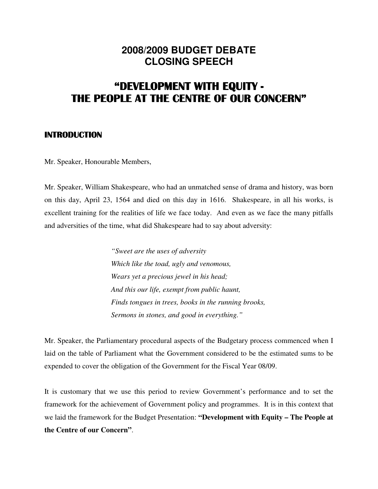# **2008/2009 BUDGET DEBATE CLOSING SPEECH**

# "DEVELOPMENT WITH EQUITY - THE PEOPLE AT THE CENTRE OF OUR CONCERN"

## INTRODUCTION

Mr. Speaker, Honourable Members,

Mr. Speaker, William Shakespeare, who had an unmatched sense of drama and history, was born on this day, April 23, 1564 and died on this day in 1616. Shakespeare, in all his works, is excellent training for the realities of life we face today. And even as we face the many pitfalls and adversities of the time, what did Shakespeare had to say about adversity:

> *"Sweet are the uses of adversity Which like the toad, ugly and venomous, Wears yet a precious jewel in his head; And this our life, exempt from public haunt, Finds tongues in trees, books in the running brooks, Sermons in stones, and good in everything."*

Mr. Speaker, the Parliamentary procedural aspects of the Budgetary process commenced when I laid on the table of Parliament what the Government considered to be the estimated sums to be expended to cover the obligation of the Government for the Fiscal Year 08/09.

It is customary that we use this period to review Government's performance and to set the framework for the achievement of Government policy and programmes. It is in this context that we laid the framework for the Budget Presentation: **"Development with Equity – The People at the Centre of our Concern"**.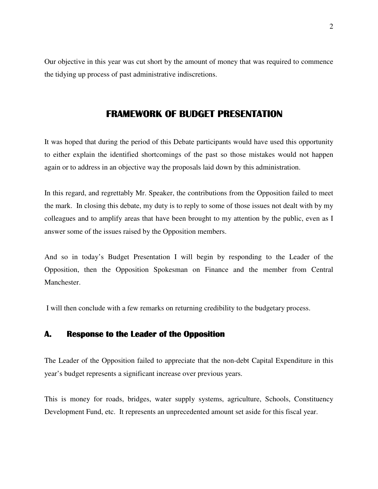Our objective in this year was cut short by the amount of money that was required to commence the tidying up process of past administrative indiscretions.

# FRAMEWORK OF BUDGET PRESENTATION

It was hoped that during the period of this Debate participants would have used this opportunity to either explain the identified shortcomings of the past so those mistakes would not happen again or to address in an objective way the proposals laid down by this administration.

In this regard, and regrettably Mr. Speaker, the contributions from the Opposition failed to meet the mark. In closing this debate, my duty is to reply to some of those issues not dealt with by my colleagues and to amplify areas that have been brought to my attention by the public, even as I answer some of the issues raised by the Opposition members.

And so in today's Budget Presentation I will begin by responding to the Leader of the Opposition, then the Opposition Spokesman on Finance and the member from Central Manchester.

I will then conclude with a few remarks on returning credibility to the budgetary process.

## A. Response to the Leader of the Opposition

The Leader of the Opposition failed to appreciate that the non-debt Capital Expenditure in this year's budget represents a significant increase over previous years.

This is money for roads, bridges, water supply systems, agriculture, Schools, Constituency Development Fund, etc. It represents an unprecedented amount set aside for this fiscal year.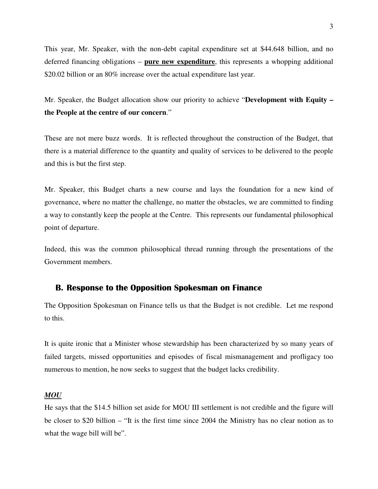This year, Mr. Speaker, with the non-debt capital expenditure set at \$44.648 billion, and no deferred financing obligations – **pure new expenditure**, this represents a whopping additional \$20.02 billion or an 80% increase over the actual expenditure last year.

Mr. Speaker, the Budget allocation show our priority to achieve "**Development with Equity – the People at the centre of our concern**."

These are not mere buzz words. It is reflected throughout the construction of the Budget, that there is a material difference to the quantity and quality of services to be delivered to the people and this is but the first step.

Mr. Speaker, this Budget charts a new course and lays the foundation for a new kind of governance, where no matter the challenge, no matter the obstacles, we are committed to finding a way to constantly keep the people at the Centre. This represents our fundamental philosophical point of departure.

Indeed, this was the common philosophical thread running through the presentations of the Government members.

#### B. Response to the Opposition Spokesman on Finance

The Opposition Spokesman on Finance tells us that the Budget is not credible. Let me respond to this.

It is quite ironic that a Minister whose stewardship has been characterized by so many years of failed targets, missed opportunities and episodes of fiscal mismanagement and profligacy too numerous to mention, he now seeks to suggest that the budget lacks credibility.

#### *MOU*

He says that the \$14.5 billion set aside for MOU III settlement is not credible and the figure will be closer to \$20 billion – "It is the first time since 2004 the Ministry has no clear notion as to what the wage bill will be".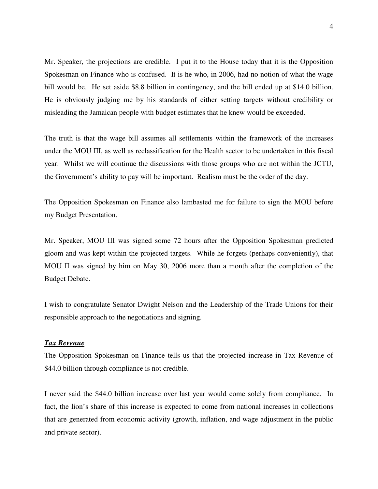Mr. Speaker, the projections are credible. I put it to the House today that it is the Opposition Spokesman on Finance who is confused. It is he who, in 2006, had no notion of what the wage bill would be. He set aside \$8.8 billion in contingency, and the bill ended up at \$14.0 billion. He is obviously judging me by his standards of either setting targets without credibility or misleading the Jamaican people with budget estimates that he knew would be exceeded.

The truth is that the wage bill assumes all settlements within the framework of the increases under the MOU III, as well as reclassification for the Health sector to be undertaken in this fiscal year. Whilst we will continue the discussions with those groups who are not within the JCTU, the Government's ability to pay will be important. Realism must be the order of the day.

The Opposition Spokesman on Finance also lambasted me for failure to sign the MOU before my Budget Presentation.

Mr. Speaker, MOU III was signed some 72 hours after the Opposition Spokesman predicted gloom and was kept within the projected targets. While he forgets (perhaps conveniently), that MOU II was signed by him on May 30, 2006 more than a month after the completion of the Budget Debate.

I wish to congratulate Senator Dwight Nelson and the Leadership of the Trade Unions for their responsible approach to the negotiations and signing.

#### *Tax Revenue*

The Opposition Spokesman on Finance tells us that the projected increase in Tax Revenue of \$44.0 billion through compliance is not credible.

I never said the \$44.0 billion increase over last year would come solely from compliance. In fact, the lion's share of this increase is expected to come from national increases in collections that are generated from economic activity (growth, inflation, and wage adjustment in the public and private sector).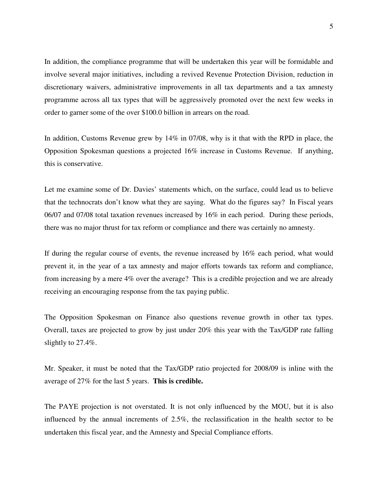In addition, the compliance programme that will be undertaken this year will be formidable and involve several major initiatives, including a revived Revenue Protection Division, reduction in discretionary waivers, administrative improvements in all tax departments and a tax amnesty programme across all tax types that will be aggressively promoted over the next few weeks in order to garner some of the over \$100.0 billion in arrears on the road.

In addition, Customs Revenue grew by 14% in 07/08, why is it that with the RPD in place, the Opposition Spokesman questions a projected 16% increase in Customs Revenue. If anything, this is conservative.

Let me examine some of Dr. Davies' statements which, on the surface, could lead us to believe that the technocrats don't know what they are saying. What do the figures say? In Fiscal years 06/07 and 07/08 total taxation revenues increased by 16% in each period. During these periods, there was no major thrust for tax reform or compliance and there was certainly no amnesty.

If during the regular course of events, the revenue increased by 16% each period, what would prevent it, in the year of a tax amnesty and major efforts towards tax reform and compliance, from increasing by a mere 4% over the average? This is a credible projection and we are already receiving an encouraging response from the tax paying public.

The Opposition Spokesman on Finance also questions revenue growth in other tax types. Overall, taxes are projected to grow by just under 20% this year with the Tax/GDP rate falling slightly to 27.4%.

Mr. Speaker, it must be noted that the Tax/GDP ratio projected for 2008/09 is inline with the average of 27% for the last 5 years. **This is credible.** 

The PAYE projection is not overstated. It is not only influenced by the MOU, but it is also influenced by the annual increments of 2.5%, the reclassification in the health sector to be undertaken this fiscal year, and the Amnesty and Special Compliance efforts.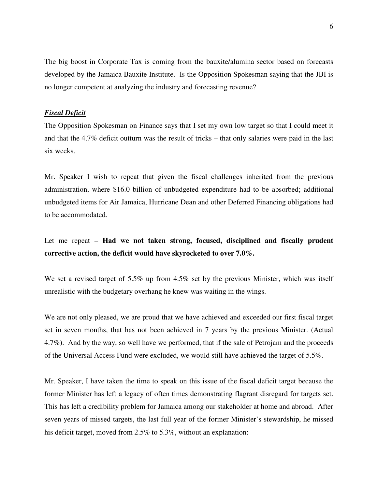The big boost in Corporate Tax is coming from the bauxite/alumina sector based on forecasts developed by the Jamaica Bauxite Institute. Is the Opposition Spokesman saying that the JBI is no longer competent at analyzing the industry and forecasting revenue?

#### *Fiscal Deficit*

The Opposition Spokesman on Finance says that I set my own low target so that I could meet it and that the 4.7% deficit outturn was the result of tricks – that only salaries were paid in the last six weeks.

Mr. Speaker I wish to repeat that given the fiscal challenges inherited from the previous administration, where \$16.0 billion of unbudgeted expenditure had to be absorbed; additional unbudgeted items for Air Jamaica, Hurricane Dean and other Deferred Financing obligations had to be accommodated.

## Let me repeat – **Had we not taken strong, focused, disciplined and fiscally prudent corrective action, the deficit would have skyrocketed to over 7.0%.**

We set a revised target of 5.5% up from 4.5% set by the previous Minister, which was itself unrealistic with the budgetary overhang he knew was waiting in the wings.

We are not only pleased, we are proud that we have achieved and exceeded our first fiscal target set in seven months, that has not been achieved in 7 years by the previous Minister. (Actual 4.7%). And by the way, so well have we performed, that if the sale of Petrojam and the proceeds of the Universal Access Fund were excluded, we would still have achieved the target of 5.5%.

Mr. Speaker, I have taken the time to speak on this issue of the fiscal deficit target because the former Minister has left a legacy of often times demonstrating flagrant disregard for targets set. This has left a credibility problem for Jamaica among our stakeholder at home and abroad. After seven years of missed targets, the last full year of the former Minister's stewardship, he missed his deficit target, moved from 2.5% to 5.3%, without an explanation: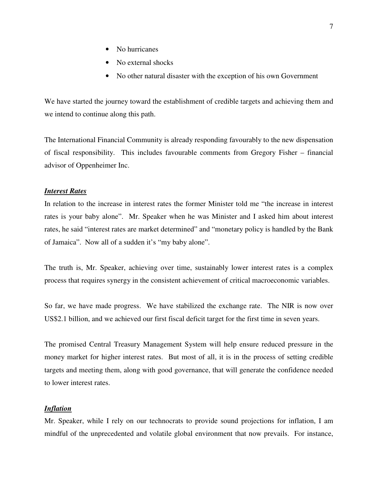- No hurricanes
- No external shocks
- No other natural disaster with the exception of his own Government

We have started the journey toward the establishment of credible targets and achieving them and we intend to continue along this path.

The International Financial Community is already responding favourably to the new dispensation of fiscal responsibility. This includes favourable comments from Gregory Fisher – financial advisor of Oppenheimer Inc.

## *Interest Rates*

In relation to the increase in interest rates the former Minister told me "the increase in interest rates is your baby alone". Mr. Speaker when he was Minister and I asked him about interest rates, he said "interest rates are market determined" and "monetary policy is handled by the Bank of Jamaica". Now all of a sudden it's "my baby alone".

The truth is, Mr. Speaker, achieving over time, sustainably lower interest rates is a complex process that requires synergy in the consistent achievement of critical macroeconomic variables.

So far, we have made progress. We have stabilized the exchange rate. The NIR is now over US\$2.1 billion, and we achieved our first fiscal deficit target for the first time in seven years.

The promised Central Treasury Management System will help ensure reduced pressure in the money market for higher interest rates. But most of all, it is in the process of setting credible targets and meeting them, along with good governance, that will generate the confidence needed to lower interest rates.

#### *Inflation*

Mr. Speaker, while I rely on our technocrats to provide sound projections for inflation, I am mindful of the unprecedented and volatile global environment that now prevails. For instance,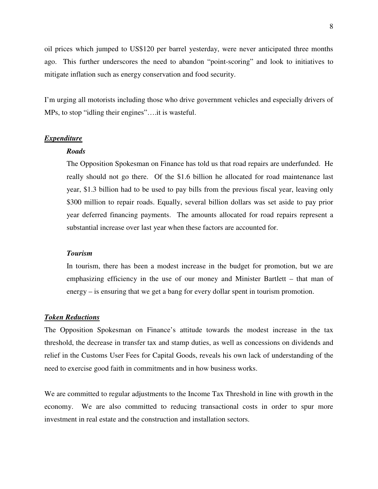oil prices which jumped to US\$120 per barrel yesterday, were never anticipated three months ago. This further underscores the need to abandon "point-scoring" and look to initiatives to mitigate inflation such as energy conservation and food security.

I'm urging all motorists including those who drive government vehicles and especially drivers of MPs, to stop "idling their engines"….it is wasteful.

#### *Expenditure*

#### *Roads*

 The Opposition Spokesman on Finance has told us that road repairs are underfunded. He really should not go there. Of the \$1.6 billion he allocated for road maintenance last year, \$1.3 billion had to be used to pay bills from the previous fiscal year, leaving only \$300 million to repair roads. Equally, several billion dollars was set aside to pay prior year deferred financing payments. The amounts allocated for road repairs represent a substantial increase over last year when these factors are accounted for.

#### *Tourism*

 In tourism, there has been a modest increase in the budget for promotion, but we are emphasizing efficiency in the use of our money and Minister Bartlett – that man of energy – is ensuring that we get a bang for every dollar spent in tourism promotion.

### *Token Reductions*

The Opposition Spokesman on Finance's attitude towards the modest increase in the tax threshold, the decrease in transfer tax and stamp duties, as well as concessions on dividends and relief in the Customs User Fees for Capital Goods, reveals his own lack of understanding of the need to exercise good faith in commitments and in how business works.

We are committed to regular adjustments to the Income Tax Threshold in line with growth in the economy. We are also committed to reducing transactional costs in order to spur more investment in real estate and the construction and installation sectors.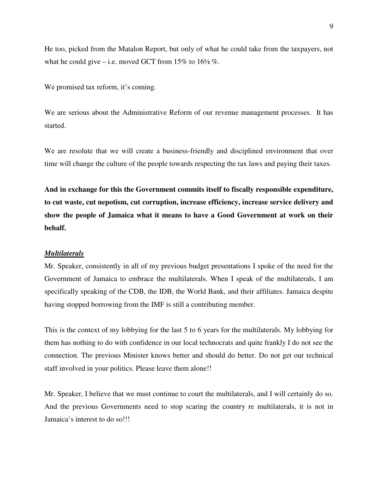He too, picked from the Matalon Report, but only of what he could take from the taxpayers, not what he could give – i.e. moved GCT from 15% to  $16\frac{1}{2}$ %.

We promised tax reform, it's coming.

We are serious about the Administrative Reform of our revenue management processes. It has started.

We are resolute that we will create a business-friendly and disciplined environment that over time will change the culture of the people towards respecting the tax laws and paying their taxes.

**And in exchange for this the Government commits itself to fiscally responsible expenditure, to cut waste, cut nepotism, cut corruption, increase efficiency, increase service delivery and show the people of Jamaica what it means to have a Good Government at work on their behalf.**

#### *Multilaterals*

Mr. Speaker, consistently in all of my previous budget presentations I spoke of the need for the Government of Jamaica to embrace the multilaterals. When I speak of the multilaterals, I am specifically speaking of the CDB, the IDB, the World Bank, and their affiliates. Jamaica despite having stopped borrowing from the IMF is still a contributing member.

This is the context of my lobbying for the last 5 to 6 years for the multilaterals. My lobbying for them has nothing to do with confidence in our local technocrats and quite frankly I do not see the connection. The previous Minister knows better and should do better. Do not get our technical staff involved in your politics. Please leave them alone!!

Mr. Speaker, I believe that we must continue to court the multilaterals, and I will certainly do so. And the previous Governments need to stop scaring the country re multilaterals, it is not in Jamaica's interest to do so!!!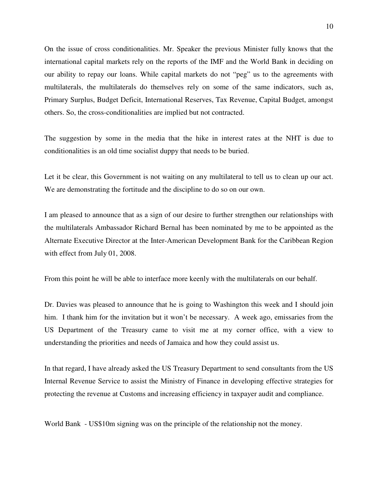On the issue of cross conditionalities. Mr. Speaker the previous Minister fully knows that the international capital markets rely on the reports of the IMF and the World Bank in deciding on our ability to repay our loans. While capital markets do not "peg" us to the agreements with multilaterals, the multilaterals do themselves rely on some of the same indicators, such as, Primary Surplus, Budget Deficit, International Reserves, Tax Revenue, Capital Budget, amongst others. So, the cross-conditionalities are implied but not contracted.

The suggestion by some in the media that the hike in interest rates at the NHT is due to conditionalities is an old time socialist duppy that needs to be buried.

Let it be clear, this Government is not waiting on any multilateral to tell us to clean up our act. We are demonstrating the fortitude and the discipline to do so on our own.

I am pleased to announce that as a sign of our desire to further strengthen our relationships with the multilaterals Ambassador Richard Bernal has been nominated by me to be appointed as the Alternate Executive Director at the Inter-American Development Bank for the Caribbean Region with effect from July 01, 2008.

From this point he will be able to interface more keenly with the multilaterals on our behalf.

Dr. Davies was pleased to announce that he is going to Washington this week and I should join him. I thank him for the invitation but it won't be necessary. A week ago, emissaries from the US Department of the Treasury came to visit me at my corner office, with a view to understanding the priorities and needs of Jamaica and how they could assist us.

In that regard, I have already asked the US Treasury Department to send consultants from the US Internal Revenue Service to assist the Ministry of Finance in developing effective strategies for protecting the revenue at Customs and increasing efficiency in taxpayer audit and compliance.

World Bank - US\$10m signing was on the principle of the relationship not the money.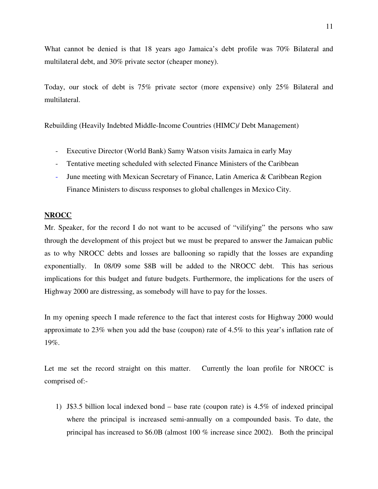What cannot be denied is that 18 years ago Jamaica's debt profile was 70% Bilateral and multilateral debt, and 30% private sector (cheaper money).

Today, our stock of debt is 75% private sector (more expensive) only 25% Bilateral and multilateral.

Rebuilding (Heavily Indebted Middle-Income Countries (HIMC)/ Debt Management)

- Executive Director (World Bank) Samy Watson visits Jamaica in early May
- Tentative meeting scheduled with selected Finance Ministers of the Caribbean
- June meeting with Mexican Secretary of Finance, Latin America & Caribbean Region Finance Ministers to discuss responses to global challenges in Mexico City.

### **NROCC**

Mr. Speaker, for the record I do not want to be accused of "vilifying" the persons who saw through the development of this project but we must be prepared to answer the Jamaican public as to why NROCC debts and losses are ballooning so rapidly that the losses are expanding exponentially. In 08/09 some \$8B will be added to the NROCC debt. This has serious implications for this budget and future budgets. Furthermore, the implications for the users of Highway 2000 are distressing, as somebody will have to pay for the losses.

In my opening speech I made reference to the fact that interest costs for Highway 2000 would approximate to 23% when you add the base (coupon) rate of 4.5% to this year's inflation rate of 19%.

Let me set the record straight on this matter. Currently the loan profile for NROCC is comprised of:-

1) J\$3.5 billion local indexed bond – base rate (coupon rate) is 4.5% of indexed principal where the principal is increased semi-annually on a compounded basis. To date, the principal has increased to \$6.0B (almost 100 % increase since 2002). Both the principal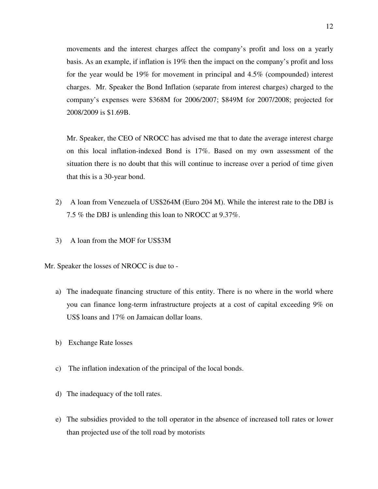movements and the interest charges affect the company's profit and loss on a yearly basis. As an example, if inflation is 19% then the impact on the company's profit and loss for the year would be 19% for movement in principal and 4.5% (compounded) interest charges. Mr. Speaker the Bond Inflation (separate from interest charges) charged to the company's expenses were \$368M for 2006/2007; \$849M for 2007/2008; projected for 2008/2009 is \$1.69B.

Mr. Speaker, the CEO of NROCC has advised me that to date the average interest charge on this local inflation-indexed Bond is 17%. Based on my own assessment of the situation there is no doubt that this will continue to increase over a period of time given that this is a 30-year bond.

- 2) A loan from Venezuela of US\$264M (Euro 204 M). While the interest rate to the DBJ is 7.5 % the DBJ is unlending this loan to NROCC at 9.37%.
- 3) A loan from the MOF for US\$3M

Mr. Speaker the losses of NROCC is due to -

- a) The inadequate financing structure of this entity. There is no where in the world where you can finance long-term infrastructure projects at a cost of capital exceeding 9% on US\$ loans and 17% on Jamaican dollar loans.
- b) Exchange Rate losses
- c) The inflation indexation of the principal of the local bonds.
- d) The inadequacy of the toll rates.
- e) The subsidies provided to the toll operator in the absence of increased toll rates or lower than projected use of the toll road by motorists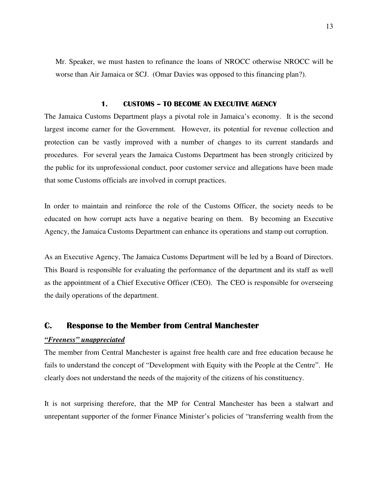Mr. Speaker, we must hasten to refinance the loans of NROCC otherwise NROCC will be worse than Air Jamaica or SCJ. (Omar Davies was opposed to this financing plan?).

#### 1. CUSTOMS – TO BECOME AN EXECUTIVE AGENCY

The Jamaica Customs Department plays a pivotal role in Jamaica's economy. It is the second largest income earner for the Government. However, its potential for revenue collection and protection can be vastly improved with a number of changes to its current standards and procedures. For several years the Jamaica Customs Department has been strongly criticized by the public for its unprofessional conduct, poor customer service and allegations have been made that some Customs officials are involved in corrupt practices.

In order to maintain and reinforce the role of the Customs Officer, the society needs to be educated on how corrupt acts have a negative bearing on them. By becoming an Executive Agency, the Jamaica Customs Department can enhance its operations and stamp out corruption.

As an Executive Agency, The Jamaica Customs Department will be led by a Board of Directors. This Board is responsible for evaluating the performance of the department and its staff as well as the appointment of a Chief Executive Officer (CEO). The CEO is responsible for overseeing the daily operations of the department.

### C. Response to the Member from Central Manchester

#### *"Freeness" unappreciated*

The member from Central Manchester is against free health care and free education because he fails to understand the concept of "Development with Equity with the People at the Centre". He clearly does not understand the needs of the majority of the citizens of his constituency.

It is not surprising therefore, that the MP for Central Manchester has been a stalwart and unrepentant supporter of the former Finance Minister's policies of "transferring wealth from the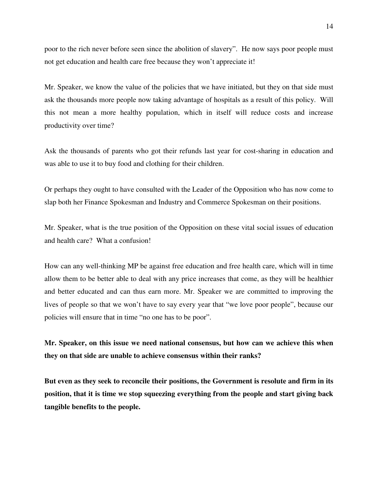poor to the rich never before seen since the abolition of slavery". He now says poor people must not get education and health care free because they won't appreciate it!

Mr. Speaker, we know the value of the policies that we have initiated, but they on that side must ask the thousands more people now taking advantage of hospitals as a result of this policy. Will this not mean a more healthy population, which in itself will reduce costs and increase productivity over time?

Ask the thousands of parents who got their refunds last year for cost-sharing in education and was able to use it to buy food and clothing for their children.

Or perhaps they ought to have consulted with the Leader of the Opposition who has now come to slap both her Finance Spokesman and Industry and Commerce Spokesman on their positions.

Mr. Speaker, what is the true position of the Opposition on these vital social issues of education and health care? What a confusion!

How can any well-thinking MP be against free education and free health care, which will in time allow them to be better able to deal with any price increases that come, as they will be healthier and better educated and can thus earn more. Mr. Speaker we are committed to improving the lives of people so that we won't have to say every year that "we love poor people", because our policies will ensure that in time "no one has to be poor".

**Mr. Speaker, on this issue we need national consensus, but how can we achieve this when they on that side are unable to achieve consensus within their ranks?** 

**But even as they seek to reconcile their positions, the Government is resolute and firm in its position, that it is time we stop squeezing everything from the people and start giving back tangible benefits to the people.**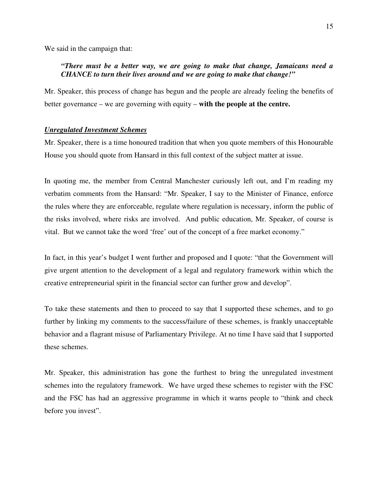We said in the campaign that:

## *"There must be a better way, we are going to make that change, Jamaicans need a CHANCE to turn their lives around and we are going to make that change!"*

Mr. Speaker, this process of change has begun and the people are already feeling the benefits of better governance – we are governing with equity – **with the people at the centre.** 

#### *Unregulated Investment Schemes*

Mr. Speaker, there is a time honoured tradition that when you quote members of this Honourable House you should quote from Hansard in this full context of the subject matter at issue.

In quoting me, the member from Central Manchester curiously left out, and I'm reading my verbatim comments from the Hansard: "Mr. Speaker, I say to the Minister of Finance, enforce the rules where they are enforceable, regulate where regulation is necessary, inform the public of the risks involved, where risks are involved. And public education, Mr. Speaker, of course is vital. But we cannot take the word 'free' out of the concept of a free market economy."

In fact, in this year's budget I went further and proposed and I quote: "that the Government will give urgent attention to the development of a legal and regulatory framework within which the creative entrepreneurial spirit in the financial sector can further grow and develop".

To take these statements and then to proceed to say that I supported these schemes, and to go further by linking my comments to the success/failure of these schemes, is frankly unacceptable behavior and a flagrant misuse of Parliamentary Privilege. At no time I have said that I supported these schemes.

Mr. Speaker, this administration has gone the furthest to bring the unregulated investment schemes into the regulatory framework. We have urged these schemes to register with the FSC and the FSC has had an aggressive programme in which it warns people to "think and check before you invest".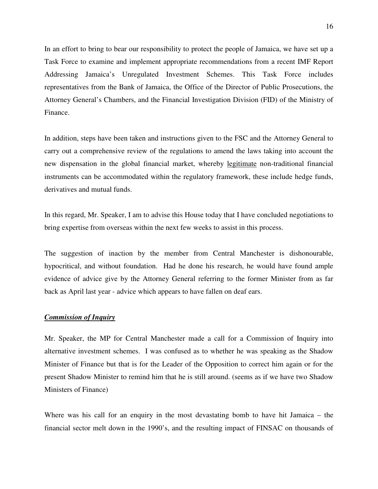In an effort to bring to bear our responsibility to protect the people of Jamaica, we have set up a Task Force to examine and implement appropriate recommendations from a recent IMF Report Addressing Jamaica's Unregulated Investment Schemes. This Task Force includes representatives from the Bank of Jamaica, the Office of the Director of Public Prosecutions, the Attorney General's Chambers, and the Financial Investigation Division (FID) of the Ministry of Finance.

In addition, steps have been taken and instructions given to the FSC and the Attorney General to carry out a comprehensive review of the regulations to amend the laws taking into account the new dispensation in the global financial market, whereby legitimate non-traditional financial instruments can be accommodated within the regulatory framework, these include hedge funds, derivatives and mutual funds.

In this regard, Mr. Speaker, I am to advise this House today that I have concluded negotiations to bring expertise from overseas within the next few weeks to assist in this process.

The suggestion of inaction by the member from Central Manchester is dishonourable, hypocritical, and without foundation. Had he done his research, he would have found ample evidence of advice give by the Attorney General referring to the former Minister from as far back as April last year - advice which appears to have fallen on deaf ears.

#### *Commission of Inquiry*

Mr. Speaker, the MP for Central Manchester made a call for a Commission of Inquiry into alternative investment schemes. I was confused as to whether he was speaking as the Shadow Minister of Finance but that is for the Leader of the Opposition to correct him again or for the present Shadow Minister to remind him that he is still around. (seems as if we have two Shadow Ministers of Finance)

Where was his call for an enquiry in the most devastating bomb to have hit Jamaica – the financial sector melt down in the 1990's, and the resulting impact of FINSAC on thousands of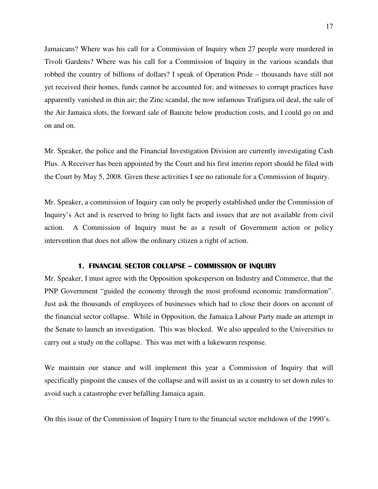Jamaicans? Where was his call for a Commission of Inquiry when 27 people were murdered in Tivoli Gardens? Where was his call for a Commission of Inquiry in the various scandals that robbed the country of billions of dollars? I speak of Operation Pride – thousands have still not yet received their homes, funds cannot be accounted for, and witnesses to corrupt practices have apparently vanished in thin air; the Zinc scandal, the now infamous Trafigura oil deal, the sale of the Air Jamaica slots, the forward sale of Bauxite below production costs, and I could go on and on and on.

Mr. Speaker, the police and the Financial Investigation Division are currently investigating Cash Plus. A Receiver has been appointed by the Court and his first interim report should be filed with the Court by May 5, 2008. Given these activities I see no rationale for a Commission of Inquiry.

Mr. Speaker, a commission of Inquiry can only be properly established under the Commission of Inquiry's Act and is reserved to bring to light facts and issues that are not available from civil action. A Commission of Inquiry must be as a result of Government action or policy intervention that does not allow the ordinary citizen a right of action.

#### 1. FINANCIAL SECTOR COLLAPSE – COMMISSION OF INQUIRY

Mr. Speaker, I must agree with the Opposition spokesperson on Industry and Commerce, that the PNP Government "guided the economy through the most profound economic transformation". Just ask the thousands of employees of businesses which had to close their doors on account of the financial sector collapse. While in Opposition, the Jamaica Labour Party made an attempt in the Senate to launch an investigation. This was blocked. We also appealed to the Universities to carry out a study on the collapse. This was met with a lukewarm response.

We maintain our stance and will implement this year a Commission of Inquiry that will specifically pinpoint the causes of the collapse and will assist us as a country to set down rules to avoid such a catastrophe ever befalling Jamaica again.

On this issue of the Commission of Inquiry I turn to the financial sector meltdown of the 1990's.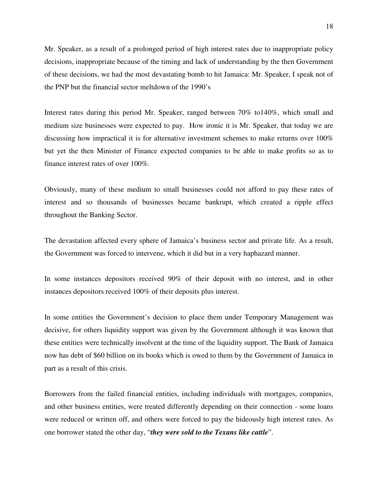Mr. Speaker, as a result of a prolonged period of high interest rates due to inappropriate policy decisions, inappropriate because of the timing and lack of understanding by the then Government of these decisions, we had the most devastating bomb to hit Jamaica: Mr. Speaker, I speak not of the PNP but the financial sector meltdown of the 1990's

Interest rates during this period Mr. Speaker, ranged between 70% to140%, which small and medium size businesses were expected to pay. How ironic it is Mr. Speaker, that today we are discussing how impractical it is for alternative investment schemes to make returns over 100% but yet the then Minister of Finance expected companies to be able to make profits so as to finance interest rates of over 100%.

Obviously, many of these medium to small businesses could not afford to pay these rates of interest and so thousands of businesses became bankrupt, which created a ripple effect throughout the Banking Sector.

The devastation affected every sphere of Jamaica's business sector and private life. As a result, the Government was forced to intervene, which it did but in a very haphazard manner.

In some instances depositors received 90% of their deposit with no interest, and in other instances depositors received 100% of their deposits plus interest.

In some entities the Government's decision to place them under Temporary Management was decisive, for others liquidity support was given by the Government although it was known that these entities were technically insolvent at the time of the liquidity support. The Bank of Jamaica now has debt of \$60 billion on its books which is owed to them by the Government of Jamaica in part as a result of this crisis.

Borrowers from the failed financial entities, including individuals with mortgages, companies, and other business entities, were treated differently depending on their connection - some loans were reduced or written off, and others were forced to pay the hideously high interest rates. As one borrower stated the other day, "*they were sold to the Texans like cattle*".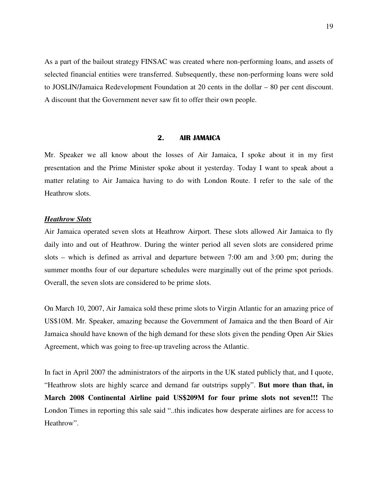As a part of the bailout strategy FINSAC was created where non-performing loans, and assets of selected financial entities were transferred. Subsequently, these non-performing loans were sold to JOSLIN/Jamaica Redevelopment Foundation at 20 cents in the dollar – 80 per cent discount. A discount that the Government never saw fit to offer their own people.

#### 2. AIR JAMAICA

Mr. Speaker we all know about the losses of Air Jamaica, I spoke about it in my first presentation and the Prime Minister spoke about it yesterday. Today I want to speak about a matter relating to Air Jamaica having to do with London Route. I refer to the sale of the Heathrow slots.

#### *Heathrow Slots*

Air Jamaica operated seven slots at Heathrow Airport. These slots allowed Air Jamaica to fly daily into and out of Heathrow. During the winter period all seven slots are considered prime slots – which is defined as arrival and departure between 7:00 am and 3:00 pm; during the summer months four of our departure schedules were marginally out of the prime spot periods. Overall, the seven slots are considered to be prime slots.

On March 10, 2007, Air Jamaica sold these prime slots to Virgin Atlantic for an amazing price of US\$10M. Mr. Speaker, amazing because the Government of Jamaica and the then Board of Air Jamaica should have known of the high demand for these slots given the pending Open Air Skies Agreement, which was going to free-up traveling across the Atlantic.

In fact in April 2007 the administrators of the airports in the UK stated publicly that, and I quote, "Heathrow slots are highly scarce and demand far outstrips supply". **But more than that, in March 2008 Continental Airline paid US\$209M for four prime slots not seven!!!** The London Times in reporting this sale said "..this indicates how desperate airlines are for access to Heathrow".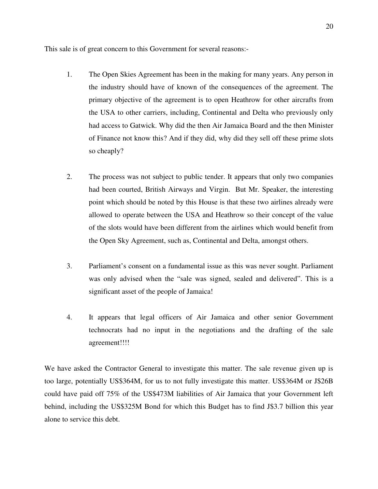This sale is of great concern to this Government for several reasons:-

- 1. The Open Skies Agreement has been in the making for many years. Any person in the industry should have of known of the consequences of the agreement. The primary objective of the agreement is to open Heathrow for other aircrafts from the USA to other carriers, including, Continental and Delta who previously only had access to Gatwick. Why did the then Air Jamaica Board and the then Minister of Finance not know this? And if they did, why did they sell off these prime slots so cheaply?
- 2. The process was not subject to public tender. It appears that only two companies had been courted, British Airways and Virgin. But Mr. Speaker, the interesting point which should be noted by this House is that these two airlines already were allowed to operate between the USA and Heathrow so their concept of the value of the slots would have been different from the airlines which would benefit from the Open Sky Agreement, such as, Continental and Delta, amongst others.
- 3. Parliament's consent on a fundamental issue as this was never sought. Parliament was only advised when the "sale was signed, sealed and delivered". This is a significant asset of the people of Jamaica!
- 4. It appears that legal officers of Air Jamaica and other senior Government technocrats had no input in the negotiations and the drafting of the sale agreement!!!!

We have asked the Contractor General to investigate this matter. The sale revenue given up is too large, potentially US\$364M, for us to not fully investigate this matter. US\$364M or J\$26B could have paid off 75% of the US\$473M liabilities of Air Jamaica that your Government left behind, including the US\$325M Bond for which this Budget has to find J\$3.7 billion this year alone to service this debt.